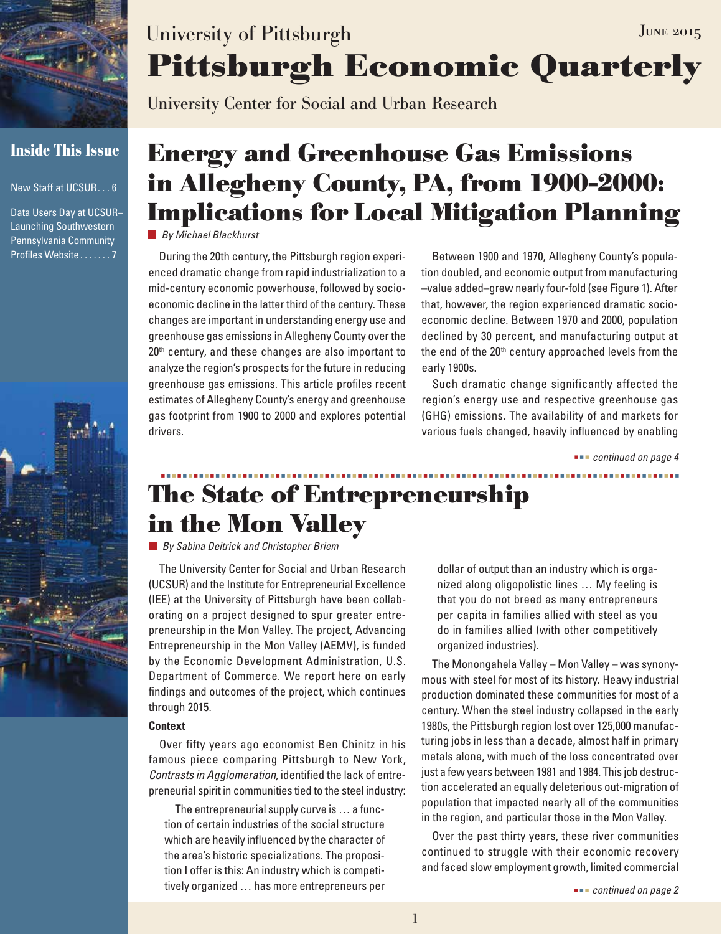

### **Inside This Issue**

New Staff at UCSUR . . . 6

Data Users Day at UCSUR– Launching Southwestern Pennsylvania Community Profiles Website . . . . . . . 7



# **Pittsburgh Economic Quarterly** University of Pittsburgh JUNE 2015

University Center for Social and Urban Research

# **Energy and Greenhouse Gas Emissions in Allegheny County, PA, from 1900-2000: Implications for Local Mitigation Planning**

*By Michael Blackhurst*

During the 20th century, the Pittsburgh region experienced dramatic change from rapid industrialization to a mid-century economic powerhouse, followed by socioeconomic decline in the latter third of the century. These changes are important in understanding energy use and greenhouse gas emissions in Allegheny County over the 20<sup>th</sup> century, and these changes are also important to analyze the region's prospects for the future in reducing greenhouse gas emissions. This article profiles recent estimates of Allegheny County's energy and greenhouse gas footprint from 1900 to 2000 and explores potential drivers.

Between 1900 and 1970, Allegheny County's population doubled, and economic output from manufacturing –value added–grew nearly four-fold (see Figure 1). After that, however, the region experienced dramatic socioeconomic decline. Between 1970 and 2000, population declined by 30 percent, and manufacturing output at the end of the  $20<sup>th</sup>$  century approached levels from the early 1900s.

Such dramatic change significantly affected the region's energy use and respective greenhouse gas (GHG) emissions. The availability of and markets for various fuels changed, heavily influenced by enabling

 *continued on page 4*

## **The State of Entrepreneurship in the Mon Valley**

*By Sabina Deitrick and Christopher Briem*

The University Center for Social and Urban Research (UCSUR) and the Institute for Entrepreneurial Excellence (IEE) at the University of Pittsburgh have been collaborating on a project designed to spur greater entrepreneurship in the Mon Valley. The project, Advancing Entrepreneurship in the Mon Valley (AEMV), is funded by the Economic Development Administration, U.S. Department of Commerce. We report here on early findings and outcomes of the project, which continues through 2015.

#### **Context**

Over fifty years ago economist Ben Chinitz in his famous piece comparing Pittsburgh to New York, *Contrasts in Agglomeration,* identified the lack of entrepreneurial spirit in communities tied to the steel industry:

The entrepreneurial supply curve is … a function of certain industries of the social structure which are heavily influenced by the character of the area's historic specializations. The proposition I offer is this: An industry which is competitively organized … has more entrepreneurs per

dollar of output than an industry which is organized along oligopolistic lines … My feeling is that you do not breed as many entrepreneurs per capita in families allied with steel as you do in families allied (with other competitively organized industries).

The Monongahela Valley – Mon Valley – was synonymous with steel for most of its history. Heavy industrial production dominated these communities for most of a century. When the steel industry collapsed in the early 1980s, the Pittsburgh region lost over 125,000 manufacturing jobs in less than a decade, almost half in primary metals alone, with much of the loss concentrated over just a few years between 1981 and 1984. This job destruction accelerated an equally deleterious out-migration of population that impacted nearly all of the communities in the region, and particular those in the Mon Valley.

Over the past thirty years, these river communities continued to struggle with their economic recovery and faced slow employment growth, limited commercial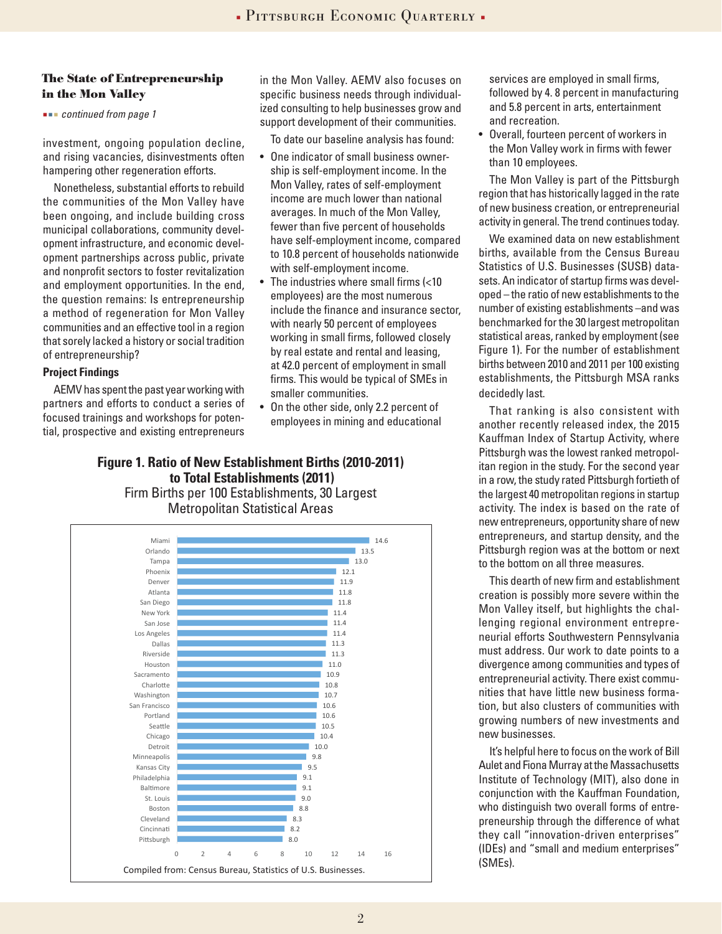#### **The State of Entrepreneurship in the Mon Valley**

 *continued from page 1*

investment, ongoing population decline, and rising vacancies, disinvestments often hampering other regeneration efforts.

Nonetheless, substantial efforts to rebuild the communities of the Mon Valley have been ongoing, and include building cross municipal collaborations, community development infrastructure, and economic development partnerships across public, private and nonprofit sectors to foster revitalization and employment opportunities. In the end, the question remains: Is entrepreneurship a method of regeneration for Mon Valley communities and an effective tool in a region that sorely lacked a history or social tradition of entrepreneurship?

#### **Project Findings**

AEMV has spent the past year working with partners and efforts to conduct a series of focused trainings and workshops for potential, prospective and existing entrepreneurs in the Mon Valley. AEMV also focuses on specific business needs through individualized consulting to help businesses grow and support development of their communities.

To date our baseline analysis has found:

- One indicator of small business ownership is self-employment income. In the Mon Valley, rates of self-employment income are much lower than national averages. In much of the Mon Valley, fewer than five percent of households have self-employment income, compared to 10.8 percent of households nationwide with self-employment income.
- The industries where small firms (<10 employees) are the most numerous include the finance and insurance sector, with nearly 50 percent of employees working in small firms, followed closely by real estate and rental and leasing, at 42.0 percent of employment in small firms. This would be typical of SMEs in smaller communities.
- On the other side, only 2.2 percent of employees in mining and educational

### **Figure 1. Ratio of New Establishment Births (2010-2011) to Total Establishments (2011)**

Firm Births per 100 Establishments, 30 Largest Metropolitan Statistical Areas



services are employed in small firms, followed by 4. 8 percent in manufacturing and 5.8 percent in arts, entertainment and recreation.

• Overall, fourteen percent of workers in the Mon Valley work in firms with fewer than 10 employees.

The Mon Valley is part of the Pittsburgh region that has historically lagged in the rate of new business creation, or entrepreneurial activity in general. The trend continues today.

We examined data on new establishment births, available from the Census Bureau Statistics of U.S. Businesses (SUSB) datasets. An indicator of startup firms was developed – the ratio of new establishments to the number of existing establishments –and was benchmarked for the 30 largest metropolitan statistical areas, ranked by employment (see Figure 1). For the number of establishment births between 2010 and 2011 per 100 existing establishments, the Pittsburgh MSA ranks decidedly last.

That ranking is also consistent with another recently released index, the 2015 Kauffman Index of Startup Activity, where Pittsburgh was the lowest ranked metropolitan region in the study. For the second year in a row, the study rated Pittsburgh fortieth of the largest 40 metropolitan regions in startup activity. The index is based on the rate of new entrepreneurs, opportunity share of new entrepreneurs, and startup density, and the Pittsburgh region was at the bottom or next to the bottom on all three measures.

This dearth of new firm and establishment creation is possibly more severe within the Mon Valley itself, but highlights the challenging regional environment entrepreneurial efforts Southwestern Pennsylvania must address. Our work to date points to a divergence among communities and types of entrepreneurial activity. There exist communities that have little new business formation, but also clusters of communities with growing numbers of new investments and new businesses.

It's helpful here to focus on the work of Bill Aulet and Fiona Murray at the Massachusetts Institute of Technology (MIT), also done in conjunction with the Kauffman Foundation, who distinguish two overall forms of entrepreneurship through the difference of what they call "innovation-driven enterprises" (IDEs) and "small and medium enterprises" (SMEs).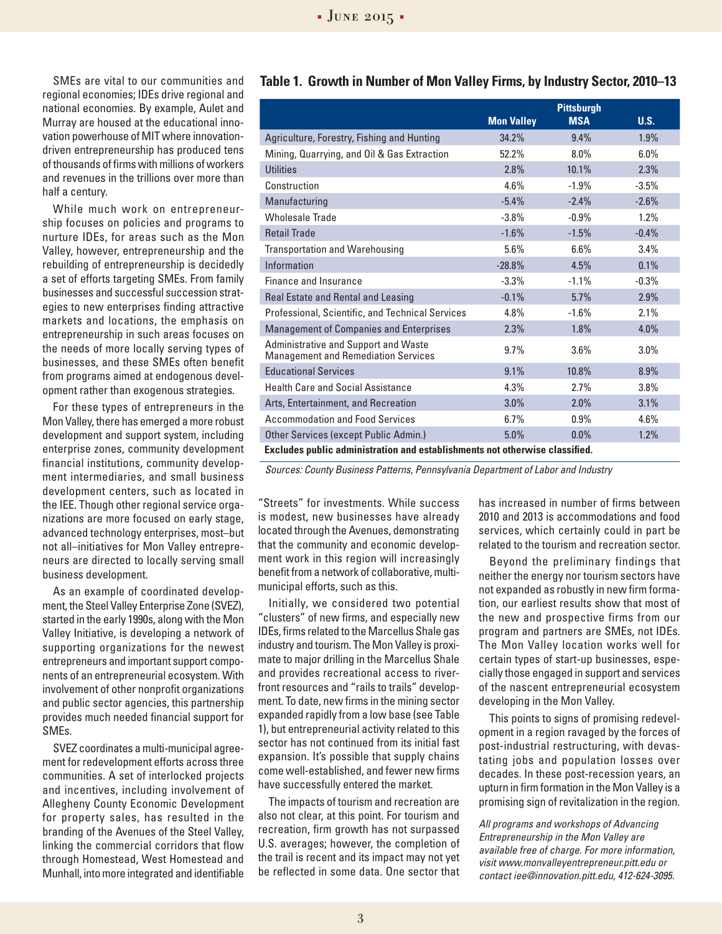SMEs are vital to our communities and regional economies; IDEs drive regional and national economies. By example, Aulet and Murray are housed at the educational innovation powerhouse of MIT where innovationdriven entrepreneurship has produced tens of thousands of firms with millions of workers and revenues in the trillions over more than half a century.

While much work on entrepreneurship focuses on policies and programs to nurture IDEs, for areas such as the Mon Valley, however, entrepreneurship and the rebuilding of entrepreneurship is decidedly a set of efforts targeting SMEs. From family businesses and successful succession strategies to new enterprises finding attractive markets and locations, the emphasis on entrepreneurship in such areas focuses on the needs of more locally serving types of businesses, and these SMEs often benefit from programs aimed at endogenous development rather than exogenous strategies.

For these types of entrepreneurs in the Mon Valley, there has emerged a more robust development and support system, including enterprise zones, community development financial institutions, community development intermediaries, and small business development centers, such as located in the IEE. Though other regional service organizations are more focused on early stage, advanced technology enterprises, most–but not all–initiatives for Mon Valley entrepreneurs are directed to locally serving small business development.

As an example of coordinated development, the Steel Valley Enterprise Zone (SVEZ), started in the early 1990s, along with the Mon Valley Initiative, is developing a network of supporting organizations for the newest entrepreneurs and important support components of an entrepreneurial ecosystem. With involvement of other nonprofit organizations and public sector agencies, this partnership provides much needed financial support for SMEs.

SVEZ coordinates a multi-municipal agreement for redevelopment efforts across three communities. A set of interlocked projects and incentives, including involvement of Allegheny County Economic Development for property sales, has resulted in the branding of the Avenues of the Steel Valley, linking the commercial corridors that flow through Homestead, West Homestead and Munhall, into more integrated and identifiable

#### **Table 1. Growth in Number of Mon Valley Firms, by Industry Sector, 2010–13**

|                                                                                    | <b>Mon Valley</b> | <b>Pittsburgh</b><br><b>MSA</b> | U.S.    |  |
|------------------------------------------------------------------------------------|-------------------|---------------------------------|---------|--|
| Agriculture, Forestry, Fishing and Hunting                                         | 34.2%             | 9.4%                            | 1.9%    |  |
| Mining, Quarrying, and Oil & Gas Extraction                                        | 52.2%             | 8.0%                            | 6.0%    |  |
| <b>Utilities</b>                                                                   | 2.8%              | 10.1%                           | 2.3%    |  |
| Construction                                                                       | 4.6%              | $-1.9%$                         | $-3.5%$ |  |
| Manufacturing                                                                      | $-5.4%$           | $-2.4%$                         | $-2.6%$ |  |
| Wholesale Trade                                                                    | $-3.8%$           | $-0.9%$                         | 1.2%    |  |
| <b>Retail Trade</b>                                                                | $-1.6%$           | $-1.5%$                         | $-0.4%$ |  |
| <b>Transportation and Warehousing</b>                                              | 5.6%              | 6.6%                            | 3.4%    |  |
| Information                                                                        | $-28.8%$          | 4.5%                            | 0.1%    |  |
| Finance and Insurance                                                              | $-3.3%$           | $-1.1%$                         | $-0.3%$ |  |
| Real Estate and Rental and Leasing                                                 | $-0.1%$           | 5.7%                            | 2.9%    |  |
| Professional, Scientific, and Technical Services                                   | 4.8%              | $-1.6%$                         | 2.1%    |  |
| <b>Management of Companies and Enterprises</b>                                     | 2.3%              | 1.8%                            | 4.0%    |  |
| Administrative and Support and Waste<br><b>Management and Remediation Services</b> | 9.7%              | 3.6%                            | 3.0%    |  |
| <b>Educational Services</b>                                                        | 9.1%              | 10.8%                           | 8.9%    |  |
| <b>Health Care and Social Assistance</b>                                           | 4.3%              | 2.7%                            | 3.8%    |  |
| Arts, Entertainment, and Recreation                                                | 3.0%              | 2.0%                            | 3.1%    |  |
| <b>Accommodation and Food Services</b>                                             | 6.7%              | 0.9%                            | 4.6%    |  |
| Other Services (except Public Admin.)                                              | 5.0%              | $0.0\%$                         | 1.2%    |  |
| Excludes public administration and establishments not otherwise classified.        |                   |                                 |         |  |

*Sources: County Business Patterns, Pennsylvania Department of Labor and Industry*

"Streets" for investments. While success is modest, new businesses have already located through the Avenues, demonstrating that the community and economic development work in this region will increasingly benefit from a network of collaborative, multimunicipal efforts, such as this.

Initially, we considered two potential "clusters" of new firms, and especially new IDEs, firms related to the Marcellus Shale gas industry and tourism. The Mon Valley is proximate to major drilling in the Marcellus Shale and provides recreational access to riverfront resources and "rails to trails" development. To date, new firms in the mining sector expanded rapidly from a low base (see Table 1), but entrepreneurial activity related to this sector has not continued from its initial fast expansion. It's possible that supply chains come well-established, and fewer new firms have successfully entered the market.

The impacts of tourism and recreation are also not clear, at this point. For tourism and recreation, firm growth has not surpassed U.S. averages; however, the completion of the trail is recent and its impact may not yet be reflected in some data. One sector that has increased in number of firms between 2010 and 2013 is accommodations and food services, which certainly could in part be related to the tourism and recreation sector.

Beyond the preliminary findings that neither the energy nor tourism sectors have not expanded as robustly in new firm formation, our earliest results show that most of the new and prospective firms from our program and partners are SMEs, not IDEs. The Mon Valley location works well for certain types of start-up businesses, especially those engaged in support and services of the nascent entrepreneurial ecosystem developing in the Mon Valley.

This points to signs of promising redevelopment in a region ravaged by the forces of post-industrial restructuring, with devastating jobs and population losses over decades. In these post-recession years, an upturn in firm formation in the Mon Valley is a promising sign of revitalization in the region.

*All programs and workshops of Advancing Entrepreneurship in the Mon Valley are available free of charge. For more information, visit www.monvalleyentrepreneur.pitt.edu or contact iee@innovation.pitt.edu, 412-624-3095.*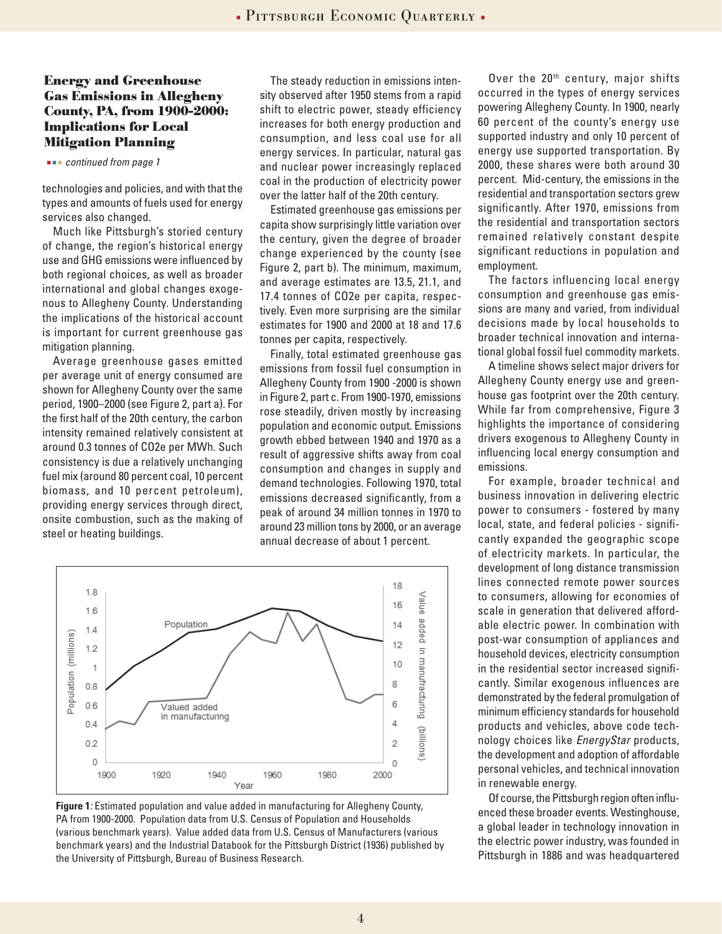#### **Energy and Greenhouse Gas Emissions in Allegheny County, PA, from 1900-2000: Implications for Local Mitigation Planning**

#### *continued from page 1*

technologies and policies, and with that the types and amounts of fuels used for energy services also changed.

Much like Pittsburgh's storied century of change, the region's historical energy use and GHG emissions were influenced by both regional choices, as well as broader international and global changes exogenous to Allegheny County. Understanding the implications of the historical account is important for current greenhouse gas mitigation planning.

Average greenhouse gases emitted per average unit of energy consumed are shown for Allegheny County over the same period, 1900–2000 (see Figure 2, part a). For the first half of the 20th century, the carbon intensity remained relatively consistent at around 0.3 tonnes of CO2e per MWh. Such consistency is due a relatively unchanging fuel mix (around 80 percent coal, 10 percent biomass, and 10 percent petroleum), providing energy services through direct, onsite combustion, such as the making of steel or heating buildings.

The steady reduction in emissions intensity observed after 1950 stems from a rapid shift to electric power, steady efficiency increases for both energy production and consumption, and less coal use for all energy services. In particular, natural gas and nuclear power increasingly replaced coal in the production of electricity power over the latter half of the 20th century.

Estimated greenhouse gas emissions per capita show surprisingly little variation over the century, given the degree of broader change experienced by the county (see Figure 2, part b). The minimum, maximum, and average estimates are 13.5, 21.1, and 17.4 tonnes of CO2e per capita, respectively. Even more surprising are the similar estimates for 1900 and 2000 at 18 and 17.6 tonnes per capita, respectively.

Finally, total estimated greenhouse gas emissions from fossil fuel consumption in Allegheny County from 1900 -2000 is shown in Figure 2, part c. From 1900-1970, emissions rose steadily, driven mostly by increasing population and economic output. Emissions growth ebbed between 1940 and 1970 as a result of aggressive shifts away from coal consumption and changes in supply and demand technologies. Following 1970, total emissions decreased significantly, from a peak of around 34 million tonnes in 1970 to around 23 million tons by 2000, or an average annual decrease of about 1 percent.



**Figure 1***:* Estimated population and value added in manufacturing for Allegheny County, PA from 1900-2000. Population data from U.S. Census of Population and Households (various benchmark years). Value added data from U.S. Census of Manufacturers (various benchmark years) and the Industrial Databook for the Pittsburgh District (1936) published by the University of Pittsburgh, Bureau of Business Research.

Over the 20<sup>th</sup> century, major shifts occurred in the types of energy services powering Allegheny County. In 1900, nearly 60 percent of the county's energy use supported industry and only 10 percent of energy use supported transportation. By 2000, these shares were both around 30 percent. Mid-century, the emissions in the residential and transportation sectors grew significantly. After 1970, emissions from the residential and transportation sectors remained relatively constant despite significant reductions in population and employment.

The factors influencing local energy consumption and greenhouse gas emissions are many and varied, from individual decisions made by local households to broader technical innovation and international global fossil fuel commodity markets.

A timeline shows select major drivers for Allegheny County energy use and greenhouse gas footprint over the 20th century. While far from comprehensive, Figure 3 highlights the importance of considering drivers exogenous to Allegheny County in influencing local energy consumption and emissions.

For example, broader technical and business innovation in delivering electric power to consumers - fostered by many local, state, and federal policies - significantly expanded the geographic scope of electricity markets. In particular, the development of long distance transmission lines connected remote power sources to consumers, allowing for economies of scale in generation that delivered affordable electric power. In combination with post-war consumption of appliances and household devices, electricity consumption in the residential sector increased significantly. Similar exogenous influences are demonstrated by the federal promulgation of minimum efficiency standards for household products and vehicles, above code technology choices like *EnergyStar* products, the development and adoption of affordable personal vehicles, and technical innovation in renewable energy.

Of course, the Pittsburgh region often influenced these broader events. Westinghouse, a global leader in technology innovation in the electric power industry, was founded in Pittsburgh in 1886 and was headquartered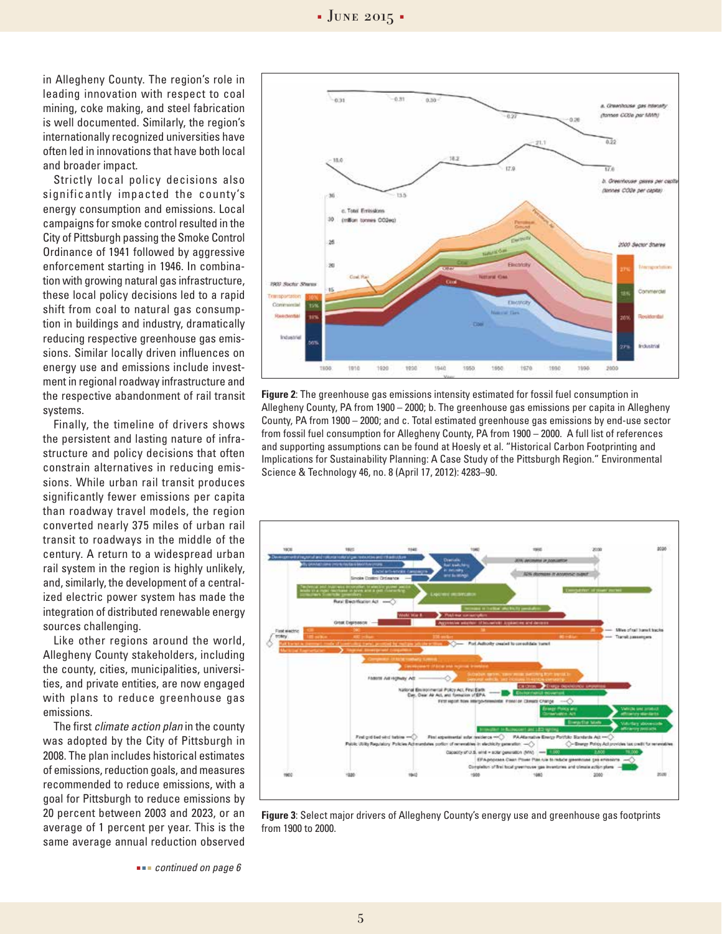in Allegheny County. The region's role in leading innovation with respect to coal mining, coke making, and steel fabrication is well documented. Similarly, the region's internationally recognized universities have often led in innovations that have both local and broader impact.

Strictly local policy decisions also significantly impacted the county's energy consumption and emissions. Local campaigns for smoke control resulted in the City of Pittsburgh passing the Smoke Control Ordinance of 1941 followed by aggressive enforcement starting in 1946. In combination with growing natural gas infrastructure, these local policy decisions led to a rapid shift from coal to natural gas consumption in buildings and industry, dramatically reducing respective greenhouse gas emissions. Similar locally driven influences on energy use and emissions include investment in regional roadway infrastructure and the respective abandonment of rail transit systems.

Finally, the timeline of drivers shows the persistent and lasting nature of infrastructure and policy decisions that often constrain alternatives in reducing emissions. While urban rail transit produces significantly fewer emissions per capita than roadway travel models, the region converted nearly 375 miles of urban rail transit to roadways in the middle of the century. A return to a widespread urban rail system in the region is highly unlikely, and, similarly, the development of a centralized electric power system has made the integration of distributed renewable energy sources challenging.

Like other regions around the world, Allegheny County stakeholders, including the county, cities, municipalities, universities, and private entities, are now engaged with plans to reduce greenhouse gas emissions.

The first *climate action plan* in the county was adopted by the City of Pittsburgh in 2008. The plan includes historical estimates of emissions, reduction goals, and measures recommended to reduce emissions, with a goal for Pittsburgh to reduce emissions by 20 percent between 2003 and 2023, or an average of 1 percent per year. This is the same average annual reduction observed



**Figure 2**: The greenhouse gas emissions intensity estimated for fossil fuel consumption in Allegheny County, PA from 1900 – 2000; b. The greenhouse gas emissions per capita in Allegheny County, PA from 1900 – 2000; and c. Total estimated greenhouse gas emissions by end-use sector from fossil fuel consumption for Allegheny County, PA from 1900 – 2000. A full list of references and supporting assumptions can be found at Hoesly et al. "Historical Carbon Footprinting and Implications for Sustainability Planning: A Case Study of the Pittsburgh Region." Environmental Science & Technology 46, no. 8 (April 17, 2012): 4283–90.



**Figure 3**: Select major drivers of Allegheny County's energy use and greenhouse gas footprints from 1900 to 2000.

 *continued on page 6*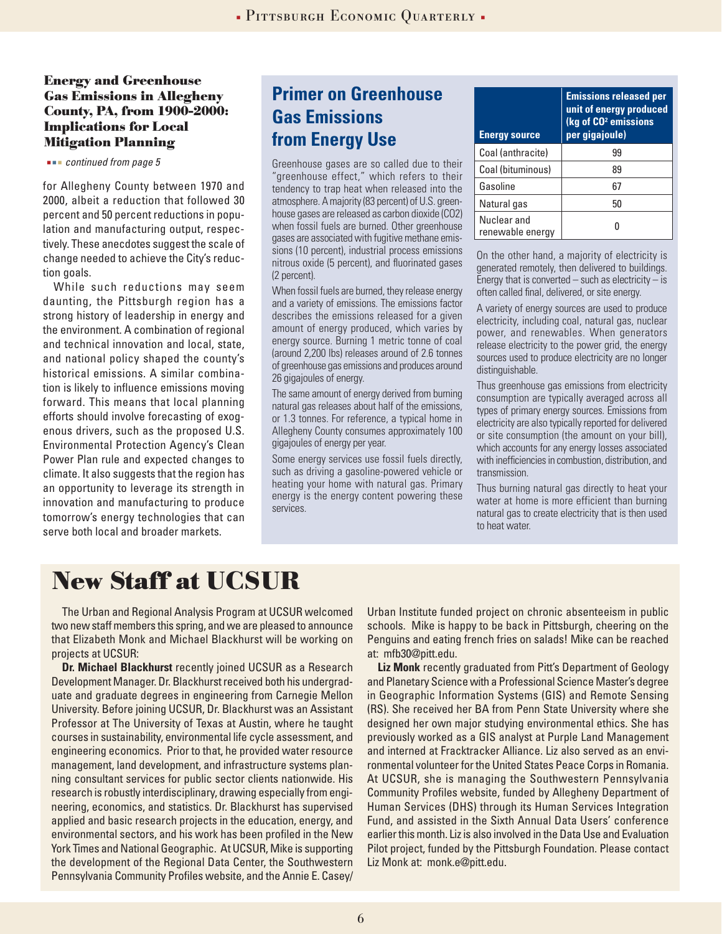#### **Energy and Greenhouse Gas Emissions in Allegheny County, PA, from 1900-2000: Implications for Local Mitigation Planning**

#### *continued from page 5*

for Allegheny County between 1970 and 2000, albeit a reduction that followed 30 percent and 50 percent reductions in population and manufacturing output, respectively. These anecdotes suggest the scale of change needed to achieve the City's reduction goals.

While such reductions may seem daunting, the Pittsburgh region has a strong history of leadership in energy and the environment. A combination of regional and technical innovation and local, state, and national policy shaped the county's historical emissions. A similar combination is likely to influence emissions moving forward. This means that local planning efforts should involve forecasting of exogenous drivers, such as the proposed U.S. Environmental Protection Agency's Clean Power Plan rule and expected changes to climate. It also suggests that the region has an opportunity to leverage its strength in innovation and manufacturing to produce tomorrow's energy technologies that can serve both local and broader markets.

## **Primer on Greenhouse Gas Emissions from Energy Use**

Greenhouse gases are so called due to their "greenhouse effect," which refers to their tendency to trap heat when released into the atmosphere. A majority (83 percent) of U.S. greenhouse gases are released as carbon dioxide (CO2) when fossil fuels are burned. Other greenhouse gases are associated with fugitive methane emissions (10 percent), industrial process emissions nitrous oxide (5 percent), and fluorinated gases (2 percent).

When fossil fuels are burned, they release energy and a variety of emissions. The emissions factor describes the emissions released for a given amount of energy produced, which varies by energy source. Burning 1 metric tonne of coal (around 2,200 lbs) releases around of 2.6 tonnes of greenhouse gas emissions and produces around 26 gigajoules of energy.

The same amount of energy derived from burning natural gas releases about half of the emissions, or 1.3 tonnes. For reference, a typical home in Allegheny County consumes approximately 100 gigajoules of energy per year.

Some energy services use fossil fuels directly, such as driving a gasoline-powered vehicle or heating your home with natural gas. Primary energy is the energy content powering these services.

| <b>Energy source</b>            | <b>Emissions released per</b><br>unit of energy produced<br>(kg of CO <sup>2</sup> emissions<br>per gigajoule) |
|---------------------------------|----------------------------------------------------------------------------------------------------------------|
| Coal (anthracite)               | 99                                                                                                             |
| Coal (bituminous)               | 89                                                                                                             |
| Gasoline                        | 67                                                                                                             |
| Natural gas                     | 50                                                                                                             |
| Nuclear and<br>renewable energy |                                                                                                                |

On the other hand, a majority of electricity is generated remotely, then delivered to buildings. Energy that is converted – such as electricity – is often called final, delivered, or site energy.

A variety of energy sources are used to produce electricity, including coal, natural gas, nuclear power, and renewables. When generators release electricity to the power grid, the energy sources used to produce electricity are no longer distinguishable.

Thus greenhouse gas emissions from electricity consumption are typically averaged across all types of primary energy sources. Emissions from electricity are also typically reported for delivered or site consumption (the amount on your bill), which accounts for any energy losses associated with inefficiencies in combustion, distribution, and transmission.

Thus burning natural gas directly to heat your water at home is more efficient than burning natural gas to create electricity that is then used to heat water.

## **New Staff at UCSUR**

The Urban and Regional Analysis Program at UCSUR welcomed two new staff members this spring, and we are pleased to announce that Elizabeth Monk and Michael Blackhurst will be working on projects at UCSUR:

**Dr. Michael Blackhurst** recently joined UCSUR as a Research Development Manager. Dr. Blackhurst received both his undergraduate and graduate degrees in engineering from Carnegie Mellon University. Before joining UCSUR, Dr. Blackhurst was an Assistant Professor at The University of Texas at Austin, where he taught courses in sustainability, environmental life cycle assessment, and engineering economics. Prior to that, he provided water resource management, land development, and infrastructure systems planning consultant services for public sector clients nationwide. His research is robustly interdisciplinary, drawing especially from engineering, economics, and statistics. Dr. Blackhurst has supervised applied and basic research projects in the education, energy, and environmental sectors, and his work has been profiled in the New York Times and National Geographic. At UCSUR, Mike is supporting the development of the Regional Data Center, the Southwestern Pennsylvania Community Profiles website, and the Annie E. Casey/ Urban Institute funded project on chronic absenteeism in public schools. Mike is happy to be back in Pittsburgh, cheering on the Penguins and eating french fries on salads! Mike can be reached at: mfb30@pitt.edu.

**Liz Monk** recently graduated from Pitt's Department of Geology and Planetary Science with a Professional Science Master's degree in Geographic Information Systems (GIS) and Remote Sensing (RS). She received her BA from Penn State University where she designed her own major studying environmental ethics. She has previously worked as a GIS analyst at Purple Land Management and interned at Fracktracker Alliance. Liz also served as an environmental volunteer for the United States Peace Corps in Romania. At UCSUR, she is managing the Southwestern Pennsylvania Community Profiles website, funded by Allegheny Department of Human Services (DHS) through its Human Services Integration Fund, and assisted in the Sixth Annual Data Users' conference earlier this month. Liz is also involved in the Data Use and Evaluation Pilot project, funded by the Pittsburgh Foundation. Please contact Liz Monk at: monk.e@pitt.edu.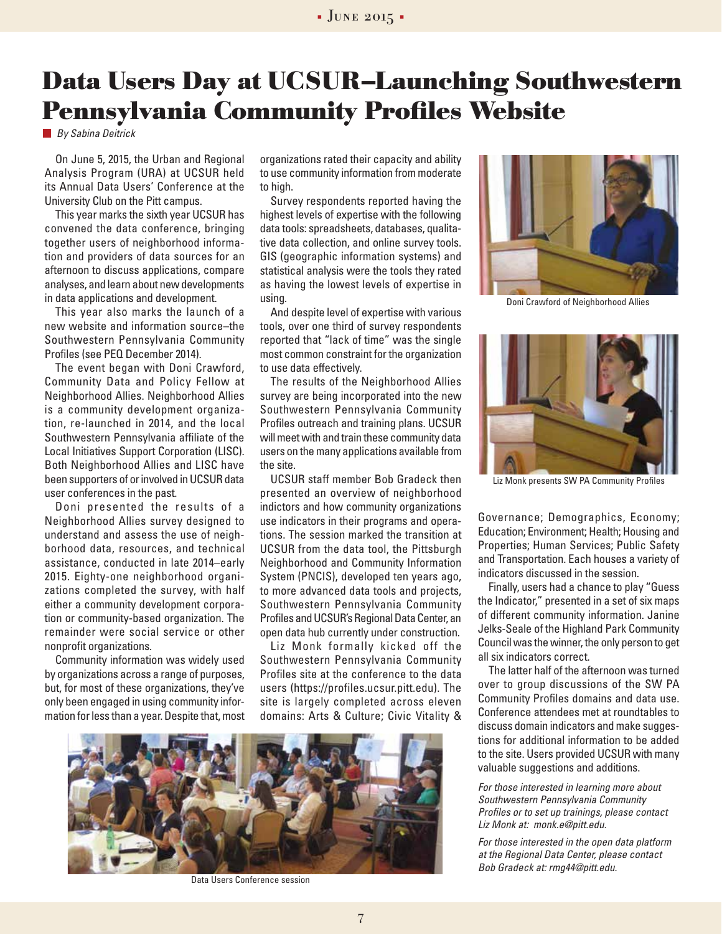## **Data Users Day at UCSUR–Launching Southwestern Pennsylvania Community Profiles Website**

*By Sabina Deitrick*

On June 5, 2015, the Urban and Regional Analysis Program (URA) at UCSUR held its Annual Data Users' Conference at the University Club on the Pitt campus.

This year marks the sixth year UCSUR has convened the data conference, bringing together users of neighborhood information and providers of data sources for an afternoon to discuss applications, compare analyses, and learn about new developments in data applications and development.

This year also marks the launch of a new website and information source–the Southwestern Pennsylvania Community Profiles (see PEQ December 2014).

The event began with Doni Crawford, Community Data and Policy Fellow at Neighborhood Allies. Neighborhood Allies is a community development organization, re-launched in 2014, and the local Southwestern Pennsylvania affiliate of the Local Initiatives Support Corporation (LISC). Both Neighborhood Allies and LISC have been supporters of or involved in UCSUR data user conferences in the past.

Doni presented the results of a Neighborhood Allies survey designed to understand and assess the use of neighborhood data, resources, and technical assistance, conducted in late 2014–early 2015. Eighty-one neighborhood organizations completed the survey, with half either a community development corporation or community-based organization. The remainder were social service or other nonprofit organizations.

Community information was widely used by organizations across a range of purposes, but, for most of these organizations, they've only been engaged in using community information for less than a year. Despite that, most

organizations rated their capacity and ability to use community information from moderate to high.

Survey respondents reported having the highest levels of expertise with the following data tools: spreadsheets, databases, qualitative data collection, and online survey tools. GIS (geographic information systems) and statistical analysis were the tools they rated as having the lowest levels of expertise in using.

And despite level of expertise with various tools, over one third of survey respondents reported that "lack of time" was the single most common constraint for the organization to use data effectively.

The results of the Neighborhood Allies survey are being incorporated into the new Southwestern Pennsylvania Community Profiles outreach and training plans. UCSUR will meet with and train these community data users on the many applications available from the site.

UCSUR staff member Bob Gradeck then presented an overview of neighborhood indictors and how community organizations use indicators in their programs and operations. The session marked the transition at UCSUR from the data tool, the Pittsburgh Neighborhood and Community Information System (PNCIS), developed ten years ago, to more advanced data tools and projects, Southwestern Pennsylvania Community Profiles and UCSUR's Regional Data Center, an open data hub currently under construction.

Liz Monk formally kicked off the Southwestern Pennsylvania Community Profiles site at the conference to the data users (https://profiles.ucsur.pitt.edu). The site is largely completed across eleven domains: Arts & Culture; Civic Vitality &



Data Users Conference session



Doni Crawford of Neighborhood Allies



Liz Monk presents SW PA Community Profiles

Governance; Demographics, Economy; Education; Environment; Health; Housing and Properties; Human Services; Public Safety and Transportation. Each houses a variety of indicators discussed in the session.

Finally, users had a chance to play "Guess the Indicator," presented in a set of six maps of different community information. Janine Jelks-Seale of the Highland Park Community Council was the winner, the only person to get all six indicators correct.

The latter half of the afternoon was turned over to group discussions of the SW PA Community Profiles domains and data use. Conference attendees met at roundtables to discuss domain indicators and make suggestions for additional information to be added to the site. Users provided UCSUR with many valuable suggestions and additions.

*For those interested in learning more about Southwestern Pennsylvania Community Profiles or to set up trainings, please contact Liz Monk at: monk.e@pitt.edu.*

*For those interested in the open data platform at the Regional Data Center, please contact Bob Gradeck at: rmg44@pitt.edu.*